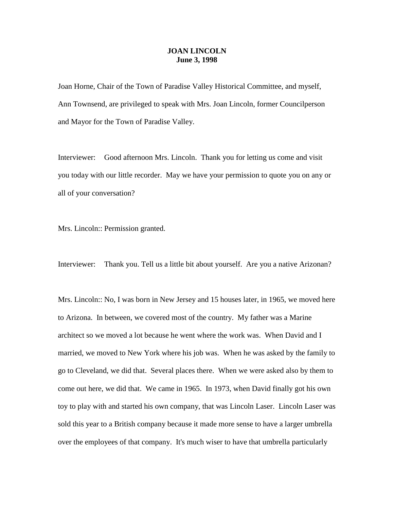## **JOAN LINCOLN June 3, 1998**

Joan Horne, Chair of the Town of Paradise Valley Historical Committee, and myself, Ann Townsend, are privileged to speak with Mrs. Joan Lincoln, former Councilperson and Mayor for the Town of Paradise Valley.

Interviewer: Good afternoon Mrs. Lincoln. Thank you for letting us come and visit you today with our little recorder. May we have your permission to quote you on any or all of your conversation?

Mrs. Lincoln:: Permission granted.

Interviewer: Thank you. Tell us a little bit about yourself. Are you a native Arizonan?

Mrs. Lincoln:: No, I was born in New Jersey and 15 houses later, in 1965, we moved here to Arizona. In between, we covered most of the country. My father was a Marine architect so we moved a lot because he went where the work was. When David and I married, we moved to New York where his job was. When he was asked by the family to go to Cleveland, we did that. Several places there. When we were asked also by them to come out here, we did that. We came in 1965. In 1973, when David finally got his own toy to play with and started his own company, that was Lincoln Laser. Lincoln Laser was sold this year to a British company because it made more sense to have a larger umbrella over the employees of that company. It's much wiser to have that umbrella particularly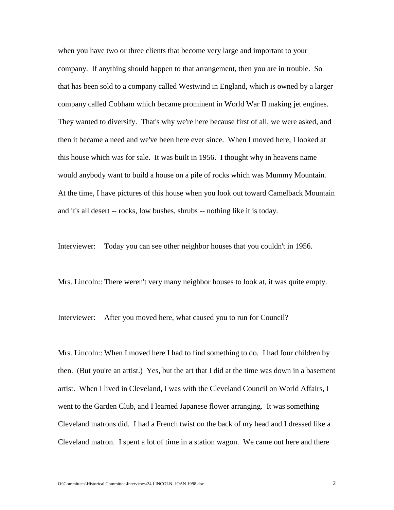when you have two or three clients that become very large and important to your company. If anything should happen to that arrangement, then you are in trouble. So that has been sold to a company called Westwind in England, which is owned by a larger company called Cobham which became prominent in World War II making jet engines. They wanted to diversify. That's why we're here because first of all, we were asked, and then it became a need and we've been here ever since. When I moved here, I looked at this house which was for sale. It was built in 1956. I thought why in heavens name would anybody want to build a house on a pile of rocks which was Mummy Mountain. At the time, I have pictures of this house when you look out toward Camelback Mountain and it's all desert -- rocks, low bushes, shrubs -- nothing like it is today.

Interviewer: Today you can see other neighbor houses that you couldn't in 1956.

Mrs. Lincoln:: There weren't very many neighbor houses to look at, it was quite empty.

Interviewer: After you moved here, what caused you to run for Council?

Mrs. Lincoln:: When I moved here I had to find something to do. I had four children by then. (But you're an artist.) Yes, but the art that I did at the time was down in a basement artist. When I lived in Cleveland, I was with the Cleveland Council on World Affairs, I went to the Garden Club, and I learned Japanese flower arranging. It was something Cleveland matrons did. I had a French twist on the back of my head and I dressed like a Cleveland matron. I spent a lot of time in a station wagon. We came out here and there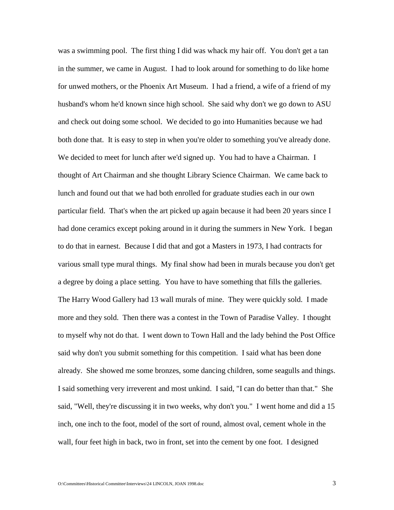was a swimming pool. The first thing I did was whack my hair off. You don't get a tan in the summer, we came in August. I had to look around for something to do like home for unwed mothers, or the Phoenix Art Museum. I had a friend, a wife of a friend of my husband's whom he'd known since high school. She said why don't we go down to ASU and check out doing some school. We decided to go into Humanities because we had both done that. It is easy to step in when you're older to something you've already done. We decided to meet for lunch after we'd signed up. You had to have a Chairman. I thought of Art Chairman and she thought Library Science Chairman. We came back to lunch and found out that we had both enrolled for graduate studies each in our own particular field. That's when the art picked up again because it had been 20 years since I had done ceramics except poking around in it during the summers in New York. I began to do that in earnest. Because I did that and got a Masters in 1973, I had contracts for various small type mural things. My final show had been in murals because you don't get a degree by doing a place setting. You have to have something that fills the galleries. The Harry Wood Gallery had 13 wall murals of mine. They were quickly sold. I made more and they sold. Then there was a contest in the Town of Paradise Valley. I thought to myself why not do that. I went down to Town Hall and the lady behind the Post Office said why don't you submit something for this competition. I said what has been done already. She showed me some bronzes, some dancing children, some seagulls and things. I said something very irreverent and most unkind. I said, "I can do better than that." She said, "Well, they're discussing it in two weeks, why don't you." I went home and did a 15 inch, one inch to the foot, model of the sort of round, almost oval, cement whole in the wall, four feet high in back, two in front, set into the cement by one foot. I designed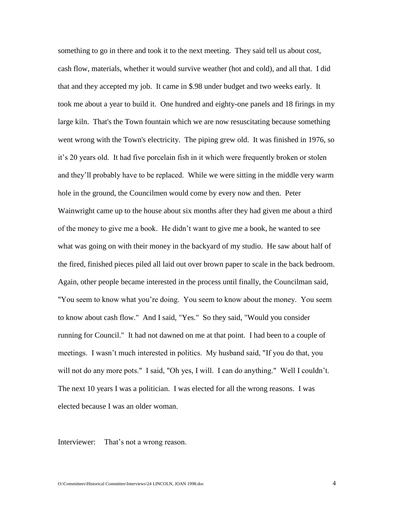something to go in there and took it to the next meeting. They said tell us about cost, cash flow, materials, whether it would survive weather (hot and cold), and all that. I did that and they accepted my job. It came in \$.98 under budget and two weeks early. It took me about a year to build it. One hundred and eighty-one panels and 18 firings in my large kiln. That's the Town fountain which we are now resuscitating because something went wrong with the Town's electricity. The piping grew old. It was finished in 1976, so it's 20 years old. It had five porcelain fish in it which were frequently broken or stolen and they'll probably have to be replaced. While we were sitting in the middle very warm hole in the ground, the Councilmen would come by every now and then. Peter Wainwright came up to the house about six months after they had given me about a third of the money to give me a book. He didn't want to give me a book, he wanted to see what was going on with their money in the backyard of my studio. He saw about half of the fired, finished pieces piled all laid out over brown paper to scale in the back bedroom. Again, other people became interested in the process until finally, the Councilman said, "You seem to know what you're doing. You seem to know about the money. You seem to know about cash flow." And I said, "Yes." So they said, "Would you consider running for Council." It had not dawned on me at that point. I had been to a couple of meetings. I wasn't much interested in politics. My husband said, "If you do that, you will not do any more pots." I said, "Oh yes, I will. I can do anything." Well I couldn't. The next 10 years I was a politician. I was elected for all the wrong reasons. I was elected because I was an older woman.

Interviewer: That's not a wrong reason.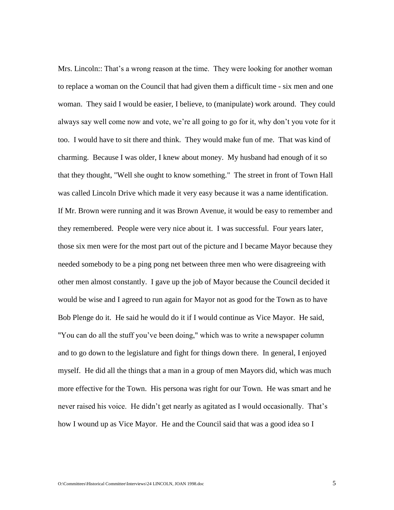Mrs. Lincoln:: That's a wrong reason at the time. They were looking for another woman to replace a woman on the Council that had given them a difficult time - six men and one woman. They said I would be easier, I believe, to (manipulate) work around. They could always say well come now and vote, we're all going to go for it, why don't you vote for it too. I would have to sit there and think. They would make fun of me. That was kind of charming. Because I was older, I knew about money. My husband had enough of it so that they thought, "Well she ought to know something." The street in front of Town Hall was called Lincoln Drive which made it very easy because it was a name identification. If Mr. Brown were running and it was Brown Avenue, it would be easy to remember and they remembered. People were very nice about it. I was successful. Four years later, those six men were for the most part out of the picture and I became Mayor because they needed somebody to be a ping pong net between three men who were disagreeing with other men almost constantly. I gave up the job of Mayor because the Council decided it would be wise and I agreed to run again for Mayor not as good for the Town as to have Bob Plenge do it. He said he would do it if I would continue as Vice Mayor. He said, "You can do all the stuff you've been doing," which was to write a newspaper column and to go down to the legislature and fight for things down there. In general, I enjoyed myself. He did all the things that a man in a group of men Mayors did, which was much more effective for the Town. His persona was right for our Town. He was smart and he never raised his voice. He didn't get nearly as agitated as I would occasionally. That's how I wound up as Vice Mayor. He and the Council said that was a good idea so I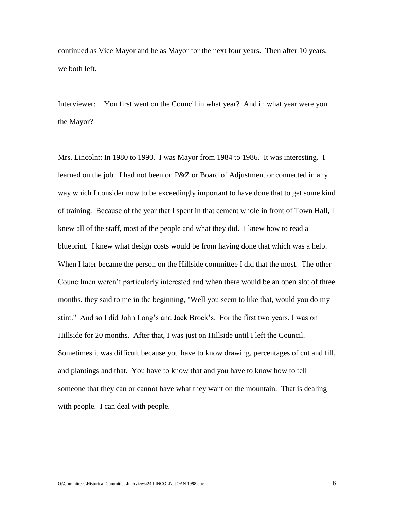continued as Vice Mayor and he as Mayor for the next four years. Then after 10 years, we both left.

Interviewer: You first went on the Council in what year? And in what year were you the Mayor?

Mrs. Lincoln:: In 1980 to 1990. I was Mayor from 1984 to 1986. It was interesting. I learned on the job. I had not been on P&Z or Board of Adjustment or connected in any way which I consider now to be exceedingly important to have done that to get some kind of training. Because of the year that I spent in that cement whole in front of Town Hall, I knew all of the staff, most of the people and what they did. I knew how to read a blueprint. I knew what design costs would be from having done that which was a help. When I later became the person on the Hillside committee I did that the most. The other Councilmen weren't particularly interested and when there would be an open slot of three months, they said to me in the beginning, "Well you seem to like that, would you do my stint." And so I did John Long's and Jack Brock's. For the first two years, I was on Hillside for 20 months. After that, I was just on Hillside until I left the Council. Sometimes it was difficult because you have to know drawing, percentages of cut and fill, and plantings and that. You have to know that and you have to know how to tell someone that they can or cannot have what they want on the mountain. That is dealing with people. I can deal with people.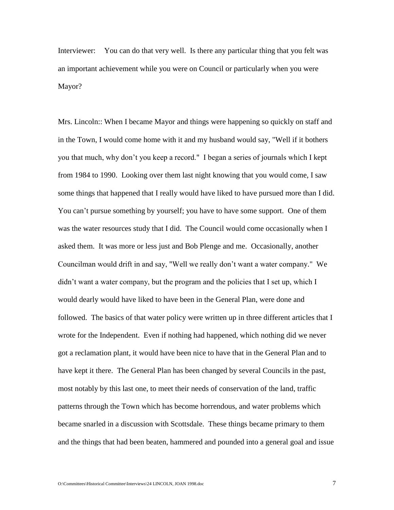Interviewer: You can do that very well. Is there any particular thing that you felt was an important achievement while you were on Council or particularly when you were Mayor?

Mrs. Lincoln:: When I became Mayor and things were happening so quickly on staff and in the Town, I would come home with it and my husband would say, "Well if it bothers you that much, why don't you keep a record." I began a series of journals which I kept from 1984 to 1990. Looking over them last night knowing that you would come, I saw some things that happened that I really would have liked to have pursued more than I did. You can't pursue something by yourself; you have to have some support. One of them was the water resources study that I did. The Council would come occasionally when I asked them. It was more or less just and Bob Plenge and me. Occasionally, another Councilman would drift in and say, "Well we really don't want a water company." We didn't want a water company, but the program and the policies that I set up, which I would dearly would have liked to have been in the General Plan, were done and followed. The basics of that water policy were written up in three different articles that I wrote for the Independent. Even if nothing had happened, which nothing did we never got a reclamation plant, it would have been nice to have that in the General Plan and to have kept it there. The General Plan has been changed by several Councils in the past, most notably by this last one, to meet their needs of conservation of the land, traffic patterns through the Town which has become horrendous, and water problems which became snarled in a discussion with Scottsdale. These things became primary to them and the things that had been beaten, hammered and pounded into a general goal and issue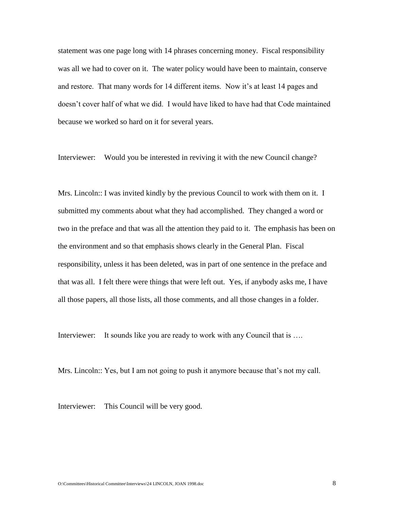statement was one page long with 14 phrases concerning money. Fiscal responsibility was all we had to cover on it. The water policy would have been to maintain, conserve and restore. That many words for 14 different items. Now it's at least 14 pages and doesn't cover half of what we did. I would have liked to have had that Code maintained because we worked so hard on it for several years.

Interviewer: Would you be interested in reviving it with the new Council change?

Mrs. Lincoln:: I was invited kindly by the previous Council to work with them on it. I submitted my comments about what they had accomplished. They changed a word or two in the preface and that was all the attention they paid to it. The emphasis has been on the environment and so that emphasis shows clearly in the General Plan. Fiscal responsibility, unless it has been deleted, was in part of one sentence in the preface and that was all. I felt there were things that were left out. Yes, if anybody asks me, I have all those papers, all those lists, all those comments, and all those changes in a folder.

Interviewer: It sounds like you are ready to work with any Council that is ....

Mrs. Lincoln:: Yes, but I am not going to push it anymore because that's not my call.

Interviewer: This Council will be very good.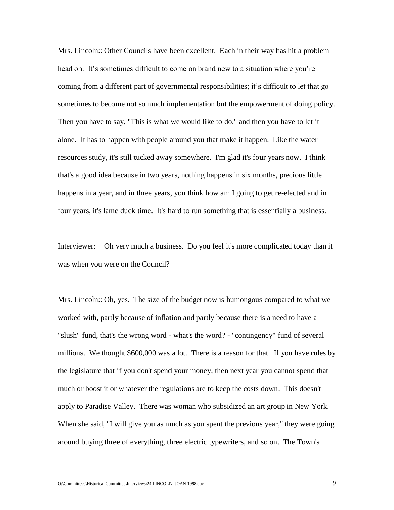Mrs. Lincoln:: Other Councils have been excellent. Each in their way has hit a problem head on. It's sometimes difficult to come on brand new to a situation where you're coming from a different part of governmental responsibilities; it's difficult to let that go sometimes to become not so much implementation but the empowerment of doing policy. Then you have to say, "This is what we would like to do," and then you have to let it alone. It has to happen with people around you that make it happen. Like the water resources study, it's still tucked away somewhere. I'm glad it's four years now. I think that's a good idea because in two years, nothing happens in six months, precious little happens in a year, and in three years, you think how am I going to get re-elected and in four years, it's lame duck time. It's hard to run something that is essentially a business.

Interviewer: Oh very much a business. Do you feel it's more complicated today than it was when you were on the Council?

Mrs. Lincoln:: Oh, yes. The size of the budget now is humongous compared to what we worked with, partly because of inflation and partly because there is a need to have a "slush" fund, that's the wrong word - what's the word? - "contingency" fund of several millions. We thought \$600,000 was a lot. There is a reason for that. If you have rules by the legislature that if you don't spend your money, then next year you cannot spend that much or boost it or whatever the regulations are to keep the costs down. This doesn't apply to Paradise Valley. There was woman who subsidized an art group in New York. When she said, "I will give you as much as you spent the previous year," they were going around buying three of everything, three electric typewriters, and so on. The Town's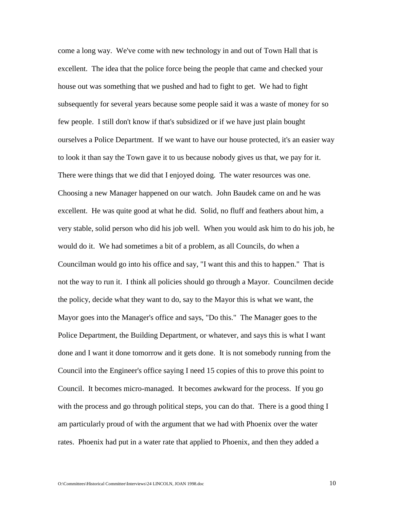come a long way. We've come with new technology in and out of Town Hall that is excellent. The idea that the police force being the people that came and checked your house out was something that we pushed and had to fight to get. We had to fight subsequently for several years because some people said it was a waste of money for so few people. I still don't know if that's subsidized or if we have just plain bought ourselves a Police Department. If we want to have our house protected, it's an easier way to look it than say the Town gave it to us because nobody gives us that, we pay for it. There were things that we did that I enjoyed doing. The water resources was one. Choosing a new Manager happened on our watch. John Baudek came on and he was excellent. He was quite good at what he did. Solid, no fluff and feathers about him, a very stable, solid person who did his job well. When you would ask him to do his job, he would do it. We had sometimes a bit of a problem, as all Councils, do when a Councilman would go into his office and say, "I want this and this to happen." That is not the way to run it. I think all policies should go through a Mayor. Councilmen decide the policy, decide what they want to do, say to the Mayor this is what we want, the Mayor goes into the Manager's office and says, "Do this." The Manager goes to the Police Department, the Building Department, or whatever, and says this is what I want done and I want it done tomorrow and it gets done. It is not somebody running from the Council into the Engineer's office saying I need 15 copies of this to prove this point to Council. It becomes micro-managed. It becomes awkward for the process. If you go with the process and go through political steps, you can do that. There is a good thing I am particularly proud of with the argument that we had with Phoenix over the water rates. Phoenix had put in a water rate that applied to Phoenix, and then they added a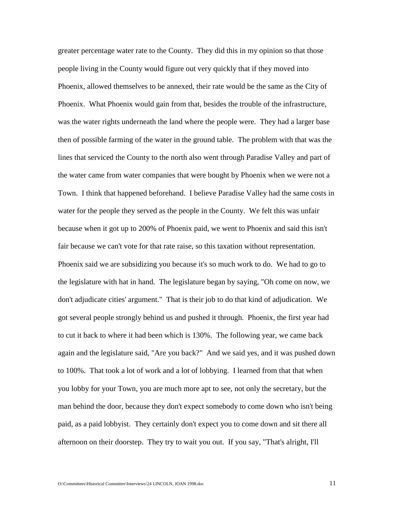greater percentage water rate to the County. They did this in my opinion so that those people living in the County would figure out very quickly that if they moved into Phoenix, allowed themselves to be annexed, their rate would be the same as the City of Phoenix. What Phoenix would gain from that, besides the trouble of the infrastructure, was the water rights underneath the land where the people were. They had a larger base then of possible farming of the water in the ground table. The problem with that was the lines that serviced the County to the north also went through Paradise Valley and part of the water came from water companies that were bought by Phoenix when we were not a Town. I think that happened beforehand. I believe Paradise Valley had the same costs in water for the people they served as the people in the County. We felt this was unfair because when it got up to 200% of Phoenix paid, we went to Phoenix and said this isn't fair because we can't vote for that rate raise, so this taxation without representation. Phoenix said we are subsidizing you because it's so much work to do. We had to go to the legislature with hat in hand. The legislature began by saying, "Oh come on now, we don't adjudicate cities' argument." That is their job to do that kind of adjudication. We got several people strongly behind us and pushed it through. Phoenix, the first year had to cut it back to where it had been which is 130%. The following year, we came back again and the legislature said, "Are you back?" And we said yes, and it was pushed down to 100%. That took a lot of work and a lot of lobbying. I learned from that that when you lobby for your Town, you are much more apt to see, not only the secretary, but the man behind the door, because they don't expect somebody to come down who isn't being paid, as a paid lobbyist. They certainly don't expect you to come down and sit there all afternoon on their doorstep. They try to wait you out. If you say, "That's alright, I'll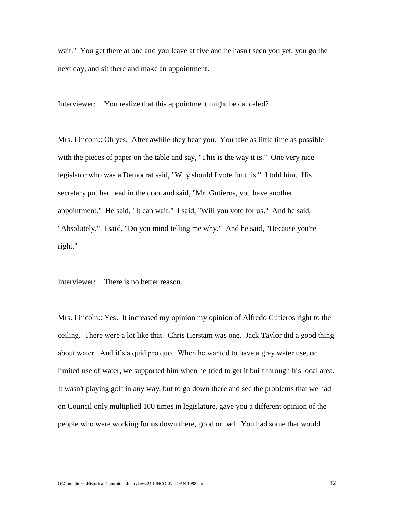wait." You get there at one and you leave at five and he hasn't seen you yet, you go the next day, and sit there and make an appointment.

Interviewer: You realize that this appointment might be canceled?

Mrs. Lincoln:: Oh yes. After awhile they hear you. You take as little time as possible with the pieces of paper on the table and say, "This is the way it is." One very nice legislator who was a Democrat said, "Why should I vote for this." I told him. His secretary put her head in the door and said, "Mr. Gutieros, you have another appointment." He said, "It can wait." I said, "Will you vote for us." And he said, "Absolutely." I said, "Do you mind telling me why." And he said, "Because you're right."

Interviewer: There is no better reason.

Mrs. Lincoln:: Yes. It increased my opinion my opinion of Alfredo Gutieros right to the ceiling. There were a lot like that. Chris Herstam was one. Jack Taylor did a good thing about water. And it's a quid pro quo. When he wanted to have a gray water use, or limited use of water, we supported him when he tried to get it built through his local area. It wasn't playing golf in any way, but to go down there and see the problems that we had on Council only multiplied 100 times in legislature, gave you a different opinion of the people who were working for us down there, good or bad. You had some that would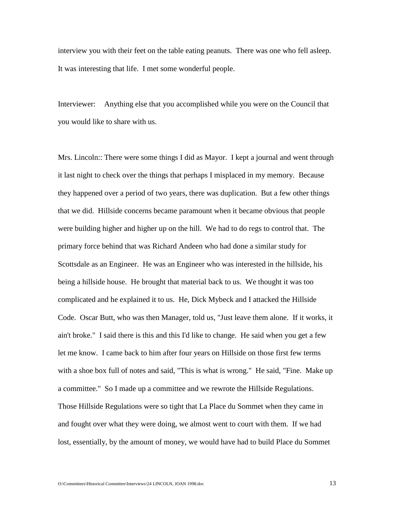interview you with their feet on the table eating peanuts. There was one who fell asleep. It was interesting that life. I met some wonderful people.

Interviewer: Anything else that you accomplished while you were on the Council that you would like to share with us.

Mrs. Lincoln:: There were some things I did as Mayor. I kept a journal and went through it last night to check over the things that perhaps I misplaced in my memory. Because they happened over a period of two years, there was duplication. But a few other things that we did. Hillside concerns became paramount when it became obvious that people were building higher and higher up on the hill. We had to do regs to control that. The primary force behind that was Richard Andeen who had done a similar study for Scottsdale as an Engineer. He was an Engineer who was interested in the hillside, his being a hillside house. He brought that material back to us. We thought it was too complicated and he explained it to us. He, Dick Mybeck and I attacked the Hillside Code. Oscar Butt, who was then Manager, told us, "Just leave them alone. If it works, it ain't broke." I said there is this and this I'd like to change. He said when you get a few let me know. I came back to him after four years on Hillside on those first few terms with a shoe box full of notes and said, "This is what is wrong." He said, "Fine. Make up a committee." So I made up a committee and we rewrote the Hillside Regulations. Those Hillside Regulations were so tight that La Place du Sommet when they came in and fought over what they were doing, we almost went to court with them. If we had lost, essentially, by the amount of money, we would have had to build Place du Sommet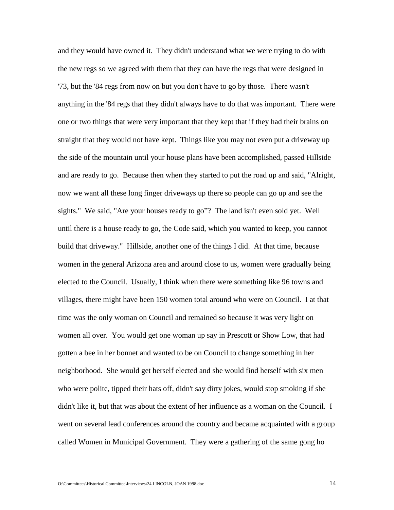and they would have owned it. They didn't understand what we were trying to do with the new regs so we agreed with them that they can have the regs that were designed in '73, but the '84 regs from now on but you don't have to go by those. There wasn't anything in the '84 regs that they didn't always have to do that was important. There were one or two things that were very important that they kept that if they had their brains on straight that they would not have kept. Things like you may not even put a driveway up the side of the mountain until your house plans have been accomplished, passed Hillside and are ready to go. Because then when they started to put the road up and said, "Alright, now we want all these long finger driveways up there so people can go up and see the sights." We said, "Are your houses ready to go"? The land isn't even sold yet. Well until there is a house ready to go, the Code said, which you wanted to keep, you cannot build that driveway." Hillside, another one of the things I did. At that time, because women in the general Arizona area and around close to us, women were gradually being elected to the Council. Usually, I think when there were something like 96 towns and villages, there might have been 150 women total around who were on Council. I at that time was the only woman on Council and remained so because it was very light on women all over. You would get one woman up say in Prescott or Show Low, that had gotten a bee in her bonnet and wanted to be on Council to change something in her neighborhood. She would get herself elected and she would find herself with six men who were polite, tipped their hats off, didn't say dirty jokes, would stop smoking if she didn't like it, but that was about the extent of her influence as a woman on the Council. I went on several lead conferences around the country and became acquainted with a group called Women in Municipal Government. They were a gathering of the same gong ho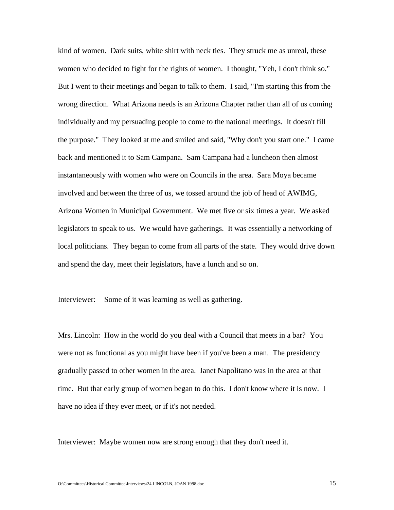kind of women. Dark suits, white shirt with neck ties. They struck me as unreal, these women who decided to fight for the rights of women. I thought, "Yeh, I don't think so." But I went to their meetings and began to talk to them. I said, "I'm starting this from the wrong direction. What Arizona needs is an Arizona Chapter rather than all of us coming individually and my persuading people to come to the national meetings. It doesn't fill the purpose." They looked at me and smiled and said, "Why don't you start one." I came back and mentioned it to Sam Campana. Sam Campana had a luncheon then almost instantaneously with women who were on Councils in the area. Sara Moya became involved and between the three of us, we tossed around the job of head of AWIMG, Arizona Women in Municipal Government. We met five or six times a year. We asked legislators to speak to us. We would have gatherings. It was essentially a networking of local politicians. They began to come from all parts of the state. They would drive down and spend the day, meet their legislators, have a lunch and so on.

Interviewer: Some of it was learning as well as gathering.

Mrs. Lincoln: How in the world do you deal with a Council that meets in a bar? You were not as functional as you might have been if you've been a man. The presidency gradually passed to other women in the area. Janet Napolitano was in the area at that time. But that early group of women began to do this. I don't know where it is now. I have no idea if they ever meet, or if it's not needed.

Interviewer: Maybe women now are strong enough that they don't need it.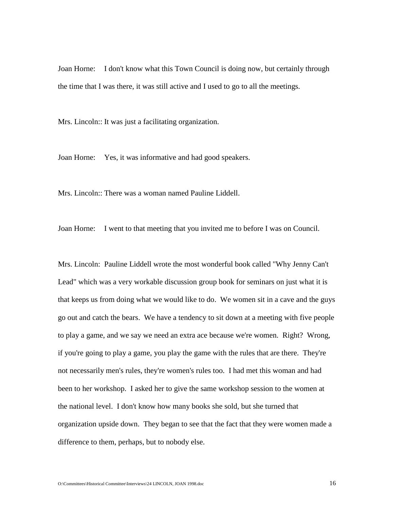Joan Horne: I don't know what this Town Council is doing now, but certainly through the time that I was there, it was still active and I used to go to all the meetings.

Mrs. Lincoln:: It was just a facilitating organization.

Joan Horne: Yes, it was informative and had good speakers.

Mrs. Lincoln:: There was a woman named Pauline Liddell.

Joan Horne: I went to that meeting that you invited me to before I was on Council.

Mrs. Lincoln: Pauline Liddell wrote the most wonderful book called "Why Jenny Can't Lead" which was a very workable discussion group book for seminars on just what it is that keeps us from doing what we would like to do. We women sit in a cave and the guys go out and catch the bears. We have a tendency to sit down at a meeting with five people to play a game, and we say we need an extra ace because we're women. Right? Wrong, if you're going to play a game, you play the game with the rules that are there. They're not necessarily men's rules, they're women's rules too. I had met this woman and had been to her workshop. I asked her to give the same workshop session to the women at the national level. I don't know how many books she sold, but she turned that organization upside down. They began to see that the fact that they were women made a difference to them, perhaps, but to nobody else.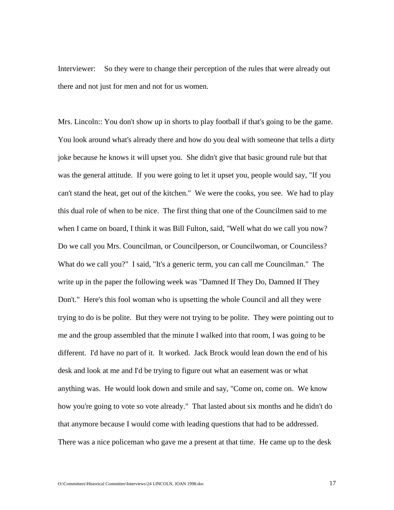Interviewer: So they were to change their perception of the rules that were already out there and not just for men and not for us women.

Mrs. Lincoln:: You don't show up in shorts to play football if that's going to be the game. You look around what's already there and how do you deal with someone that tells a dirty joke because he knows it will upset you. She didn't give that basic ground rule but that was the general attitude. If you were going to let it upset you, people would say, "If you can't stand the heat, get out of the kitchen." We were the cooks, you see. We had to play this dual role of when to be nice. The first thing that one of the Councilmen said to me when I came on board, I think it was Bill Fulton, said, "Well what do we call you now? Do we call you Mrs. Councilman, or Councilperson, or Councilwoman, or Counciless? What do we call you?" I said, "It's a generic term, you can call me Councilman." The write up in the paper the following week was "Damned If They Do, Damned If They Don't." Here's this fool woman who is upsetting the whole Council and all they were trying to do is be polite. But they were not trying to be polite. They were pointing out to me and the group assembled that the minute I walked into that room, I was going to be different. I'd have no part of it. It worked. Jack Brock would lean down the end of his desk and look at me and I'd be trying to figure out what an easement was or what anything was. He would look down and smile and say, "Come on, come on. We know how you're going to vote so vote already." That lasted about six months and he didn't do that anymore because I would come with leading questions that had to be addressed. There was a nice policeman who gave me a present at that time. He came up to the desk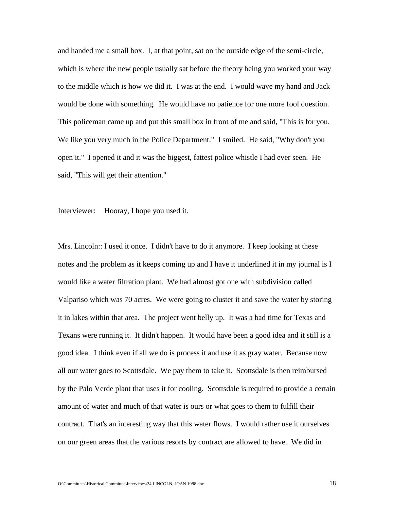and handed me a small box. I, at that point, sat on the outside edge of the semi-circle, which is where the new people usually sat before the theory being you worked your way to the middle which is how we did it. I was at the end. I would wave my hand and Jack would be done with something. He would have no patience for one more fool question. This policeman came up and put this small box in front of me and said, "This is for you. We like you very much in the Police Department." I smiled. He said, "Why don't you open it." I opened it and it was the biggest, fattest police whistle I had ever seen. He said, "This will get their attention."

Interviewer: Hooray, I hope you used it.

Mrs. Lincoln:: I used it once. I didn't have to do it anymore. I keep looking at these notes and the problem as it keeps coming up and I have it underlined it in my journal is I would like a water filtration plant. We had almost got one with subdivision called Valpariso which was 70 acres. We were going to cluster it and save the water by storing it in lakes within that area. The project went belly up. It was a bad time for Texas and Texans were running it. It didn't happen. It would have been a good idea and it still is a good idea. I think even if all we do is process it and use it as gray water. Because now all our water goes to Scottsdale. We pay them to take it. Scottsdale is then reimbursed by the Palo Verde plant that uses it for cooling. Scottsdale is required to provide a certain amount of water and much of that water is ours or what goes to them to fulfill their contract. That's an interesting way that this water flows. I would rather use it ourselves on our green areas that the various resorts by contract are allowed to have. We did in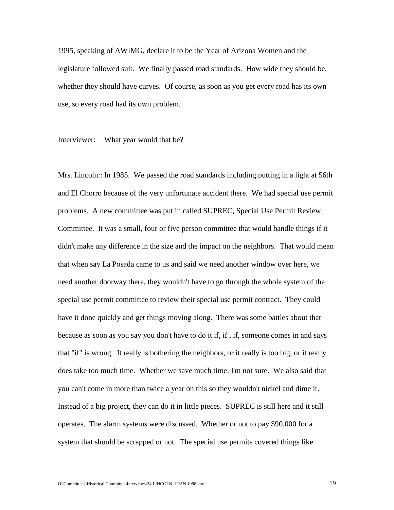1995, speaking of AWIMG, declare it to be the Year of Arizona Women and the legislature followed suit. We finally passed road standards. How wide they should be, whether they should have curves. Of course, as soon as you get every road has its own use, so every road had its own problem.

Interviewer: What year would that be?

Mrs. Lincoln:: In 1985. We passed the road standards including putting in a light at 56th and El Chorro because of the very unfortunate accident there. We had special use permit problems. A new committee was put in called SUPREC, Special Use Permit Review Committee. It was a small, four or five person committee that would handle things if it didn't make any difference in the size and the impact on the neighbors. That would mean that when say La Posada came to us and said we need another window over here, we need another doorway there, they wouldn't have to go through the whole system of the special use permit committee to review their special use permit contract. They could have it done quickly and get things moving along. There was some battles about that because as soon as you say you don't have to do it if, if , if, someone comes in and says that "if" is wrong. It really is bothering the neighbors, or it really is too big, or it really does take too much time. Whether we save much time, I'm not sure. We also said that you can't come in more than twice a year on this so they wouldn't nickel and dime it. Instead of a big project, they can do it in little pieces. SUPREC is still here and it still operates. The alarm systems were discussed. Whether or not to pay \$90,000 for a system that should be scrapped or not. The special use permits covered things like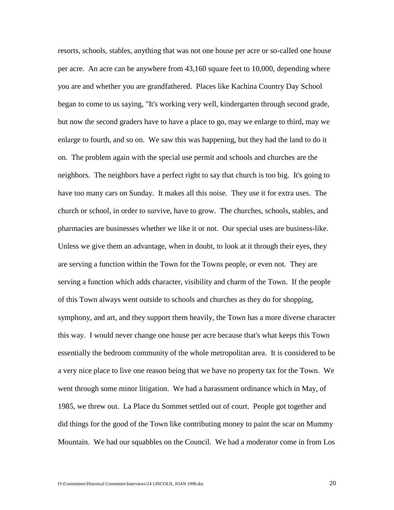resorts, schools, stables, anything that was not one house per acre or so-called one house per acre. An acre can be anywhere from 43,160 square feet to 10,000, depending where you are and whether you are grandfathered. Places like Kachina Country Day School began to come to us saying, "It's working very well, kindergarten through second grade, but now the second graders have to have a place to go, may we enlarge to third, may we enlarge to fourth, and so on. We saw this was happening, but they had the land to do it on. The problem again with the special use permit and schools and churches are the neighbors. The neighbors have a perfect right to say that church is too big. It's going to have too many cars on Sunday. It makes all this noise. They use it for extra uses. The church or school, in order to survive, have to grow. The churches, schools, stables, and pharmacies are businesses whether we like it or not. Our special uses are business-like. Unless we give them an advantage, when in doubt, to look at it through their eyes, they are serving a function within the Town for the Towns people, or even not. They are serving a function which adds character, visibility and charm of the Town. If the people of this Town always went outside to schools and churches as they do for shopping, symphony, and art, and they support them heavily, the Town has a more diverse character this way. I would never change one house per acre because that's what keeps this Town essentially the bedroom community of the whole metropolitan area. It is considered to be a very nice place to live one reason being that we have no property tax for the Town. We went through some minor litigation. We had a harassment ordinance which in May, of 1985, we threw out. La Place du Sommet settled out of court. People got together and did things for the good of the Town like contributing money to paint the scar on Mummy Mountain. We had our squabbles on the Council. We had a moderator come in from Los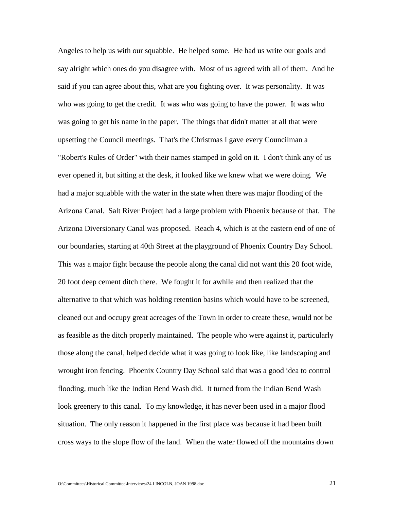Angeles to help us with our squabble. He helped some. He had us write our goals and say alright which ones do you disagree with. Most of us agreed with all of them. And he said if you can agree about this, what are you fighting over. It was personality. It was who was going to get the credit. It was who was going to have the power. It was who was going to get his name in the paper. The things that didn't matter at all that were upsetting the Council meetings. That's the Christmas I gave every Councilman a "Robert's Rules of Order" with their names stamped in gold on it. I don't think any of us ever opened it, but sitting at the desk, it looked like we knew what we were doing. We had a major squabble with the water in the state when there was major flooding of the Arizona Canal. Salt River Project had a large problem with Phoenix because of that. The Arizona Diversionary Canal was proposed. Reach 4, which is at the eastern end of one of our boundaries, starting at 40th Street at the playground of Phoenix Country Day School. This was a major fight because the people along the canal did not want this 20 foot wide, 20 foot deep cement ditch there. We fought it for awhile and then realized that the alternative to that which was holding retention basins which would have to be screened, cleaned out and occupy great acreages of the Town in order to create these, would not be as feasible as the ditch properly maintained. The people who were against it, particularly those along the canal, helped decide what it was going to look like, like landscaping and wrought iron fencing. Phoenix Country Day School said that was a good idea to control flooding, much like the Indian Bend Wash did. It turned from the Indian Bend Wash look greenery to this canal. To my knowledge, it has never been used in a major flood situation. The only reason it happened in the first place was because it had been built cross ways to the slope flow of the land. When the water flowed off the mountains down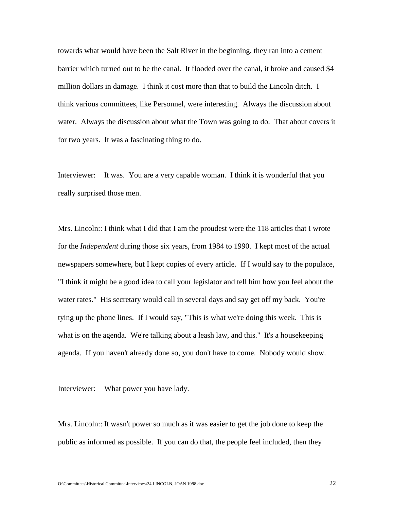towards what would have been the Salt River in the beginning, they ran into a cement barrier which turned out to be the canal. It flooded over the canal, it broke and caused \$4 million dollars in damage. I think it cost more than that to build the Lincoln ditch. I think various committees, like Personnel, were interesting. Always the discussion about water. Always the discussion about what the Town was going to do. That about covers it for two years. It was a fascinating thing to do.

Interviewer: It was. You are a very capable woman. I think it is wonderful that you really surprised those men.

Mrs. Lincoln:: I think what I did that I am the proudest were the 118 articles that I wrote for the *Independent* during those six years, from 1984 to 1990. I kept most of the actual newspapers somewhere, but I kept copies of every article. If I would say to the populace, "I think it might be a good idea to call your legislator and tell him how you feel about the water rates." His secretary would call in several days and say get off my back. You're tying up the phone lines. If I would say, "This is what we're doing this week. This is what is on the agenda. We're talking about a leash law, and this." It's a house keeping agenda. If you haven't already done so, you don't have to come. Nobody would show.

Interviewer: What power you have lady.

Mrs. Lincoln:: It wasn't power so much as it was easier to get the job done to keep the public as informed as possible. If you can do that, the people feel included, then they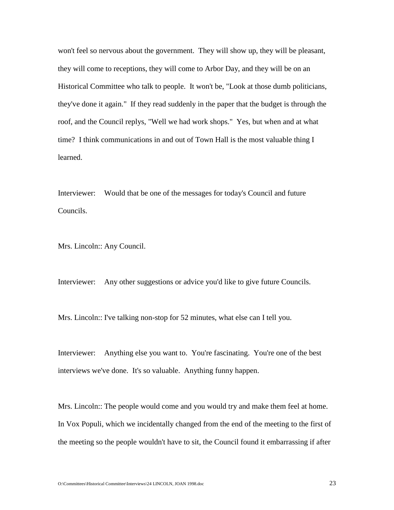won't feel so nervous about the government. They will show up, they will be pleasant, they will come to receptions, they will come to Arbor Day, and they will be on an Historical Committee who talk to people. It won't be, "Look at those dumb politicians, they've done it again." If they read suddenly in the paper that the budget is through the roof, and the Council replys, "Well we had work shops." Yes, but when and at what time? I think communications in and out of Town Hall is the most valuable thing I learned.

Interviewer: Would that be one of the messages for today's Council and future Councils.

Mrs. Lincoln:: Any Council.

Interviewer: Any other suggestions or advice you'd like to give future Councils.

Mrs. Lincoln:: I've talking non-stop for 52 minutes, what else can I tell you.

Interviewer: Anything else you want to. You're fascinating. You're one of the best interviews we've done. It's so valuable. Anything funny happen.

Mrs. Lincoln:: The people would come and you would try and make them feel at home. In Vox Populi, which we incidentally changed from the end of the meeting to the first of the meeting so the people wouldn't have to sit, the Council found it embarrassing if after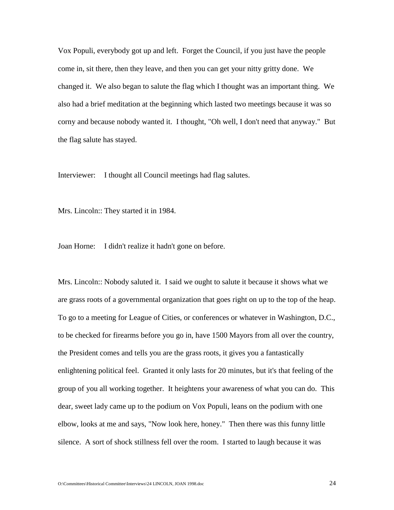Vox Populi, everybody got up and left. Forget the Council, if you just have the people come in, sit there, then they leave, and then you can get your nitty gritty done. We changed it. We also began to salute the flag which I thought was an important thing. We also had a brief meditation at the beginning which lasted two meetings because it was so corny and because nobody wanted it. I thought, "Oh well, I don't need that anyway." But the flag salute has stayed.

Interviewer: I thought all Council meetings had flag salutes.

Mrs. Lincoln:: They started it in 1984.

Joan Horne: I didn't realize it hadn't gone on before.

Mrs. Lincoln:: Nobody saluted it. I said we ought to salute it because it shows what we are grass roots of a governmental organization that goes right on up to the top of the heap. To go to a meeting for League of Cities, or conferences or whatever in Washington, D.C., to be checked for firearms before you go in, have 1500 Mayors from all over the country, the President comes and tells you are the grass roots, it gives you a fantastically enlightening political feel. Granted it only lasts for 20 minutes, but it's that feeling of the group of you all working together. It heightens your awareness of what you can do. This dear, sweet lady came up to the podium on Vox Populi, leans on the podium with one elbow, looks at me and says, "Now look here, honey." Then there was this funny little silence. A sort of shock stillness fell over the room. I started to laugh because it was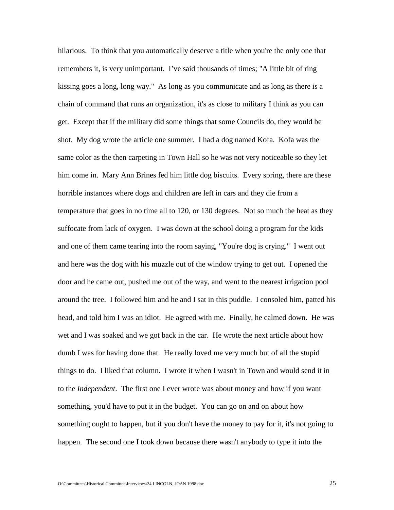hilarious. To think that you automatically deserve a title when you're the only one that remembers it, is very unimportant. I've said thousands of times; "A little bit of ring kissing goes a long, long way." As long as you communicate and as long as there is a chain of command that runs an organization, it's as close to military I think as you can get. Except that if the military did some things that some Councils do, they would be shot. My dog wrote the article one summer. I had a dog named Kofa. Kofa was the same color as the then carpeting in Town Hall so he was not very noticeable so they let him come in. Mary Ann Brines fed him little dog biscuits. Every spring, there are these horrible instances where dogs and children are left in cars and they die from a temperature that goes in no time all to 120, or 130 degrees. Not so much the heat as they suffocate from lack of oxygen. I was down at the school doing a program for the kids and one of them came tearing into the room saying, "You're dog is crying." I went out and here was the dog with his muzzle out of the window trying to get out. I opened the door and he came out, pushed me out of the way, and went to the nearest irrigation pool around the tree. I followed him and he and I sat in this puddle. I consoled him, patted his head, and told him I was an idiot. He agreed with me. Finally, he calmed down. He was wet and I was soaked and we got back in the car. He wrote the next article about how dumb I was for having done that. He really loved me very much but of all the stupid things to do. I liked that column. I wrote it when I wasn't in Town and would send it in to the *Independent*. The first one I ever wrote was about money and how if you want something, you'd have to put it in the budget. You can go on and on about how something ought to happen, but if you don't have the money to pay for it, it's not going to happen. The second one I took down because there wasn't anybody to type it into the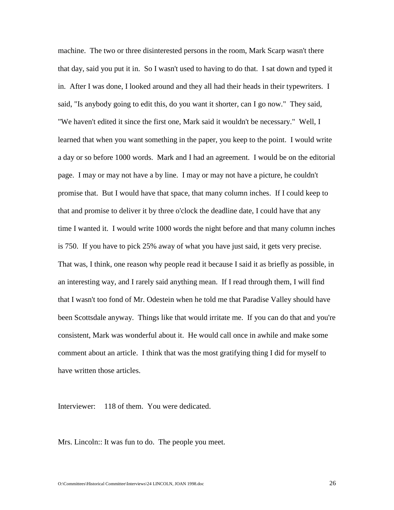machine. The two or three disinterested persons in the room, Mark Scarp wasn't there that day, said you put it in. So I wasn't used to having to do that. I sat down and typed it in. After I was done, I looked around and they all had their heads in their typewriters. I said, "Is anybody going to edit this, do you want it shorter, can I go now." They said, "We haven't edited it since the first one, Mark said it wouldn't be necessary." Well, I learned that when you want something in the paper, you keep to the point. I would write a day or so before 1000 words. Mark and I had an agreement. I would be on the editorial page. I may or may not have a by line. I may or may not have a picture, he couldn't promise that. But I would have that space, that many column inches. If I could keep to that and promise to deliver it by three o'clock the deadline date, I could have that any time I wanted it. I would write 1000 words the night before and that many column inches is 750. If you have to pick 25% away of what you have just said, it gets very precise. That was, I think, one reason why people read it because I said it as briefly as possible, in an interesting way, and I rarely said anything mean. If I read through them, I will find that I wasn't too fond of Mr. Odestein when he told me that Paradise Valley should have been Scottsdale anyway. Things like that would irritate me. If you can do that and you're consistent, Mark was wonderful about it. He would call once in awhile and make some comment about an article. I think that was the most gratifying thing I did for myself to have written those articles.

Interviewer: 118 of them. You were dedicated.

Mrs. Lincoln:: It was fun to do. The people you meet.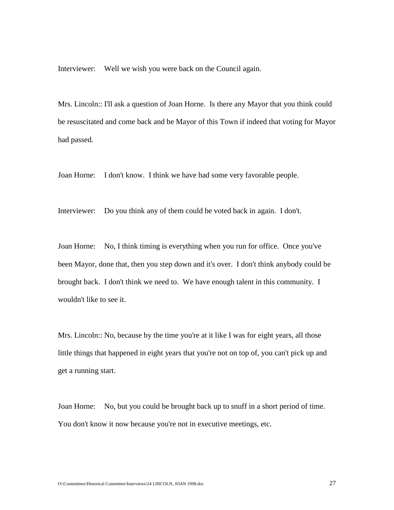Interviewer: Well we wish you were back on the Council again.

Mrs. Lincoln:: I'll ask a question of Joan Horne. Is there any Mayor that you think could be resuscitated and come back and be Mayor of this Town if indeed that voting for Mayor had passed.

Joan Horne: I don't know. I think we have had some very favorable people.

Interviewer: Do you think any of them could be voted back in again. I don't.

Joan Horne: No, I think timing is everything when you run for office. Once you've been Mayor, done that, then you step down and it's over. I don't think anybody could be brought back. I don't think we need to. We have enough talent in this community. I wouldn't like to see it.

Mrs. Lincoln:: No, because by the time you're at it like I was for eight years, all those little things that happened in eight years that you're not on top of, you can't pick up and get a running start.

Joan Horne: No, but you could be brought back up to snuff in a short period of time. You don't know it now because you're not in executive meetings, etc.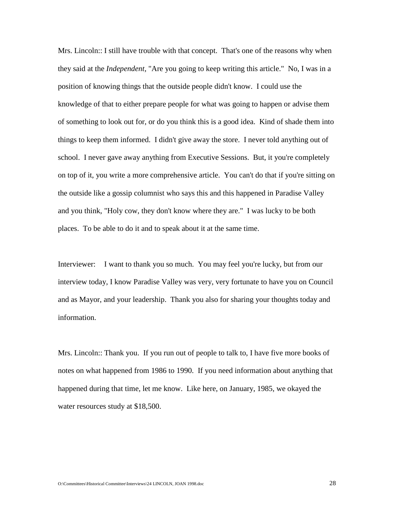Mrs. Lincoln:: I still have trouble with that concept. That's one of the reasons why when they said at the *Independent*, "Are you going to keep writing this article." No, I was in a position of knowing things that the outside people didn't know. I could use the knowledge of that to either prepare people for what was going to happen or advise them of something to look out for, or do you think this is a good idea. Kind of shade them into things to keep them informed. I didn't give away the store. I never told anything out of school. I never gave away anything from Executive Sessions. But, it you're completely on top of it, you write a more comprehensive article. You can't do that if you're sitting on the outside like a gossip columnist who says this and this happened in Paradise Valley and you think, "Holy cow, they don't know where they are." I was lucky to be both places. To be able to do it and to speak about it at the same time.

Interviewer: I want to thank you so much. You may feel you're lucky, but from our interview today, I know Paradise Valley was very, very fortunate to have you on Council and as Mayor, and your leadership. Thank you also for sharing your thoughts today and information.

Mrs. Lincoln:: Thank you. If you run out of people to talk to, I have five more books of notes on what happened from 1986 to 1990. If you need information about anything that happened during that time, let me know. Like here, on January, 1985, we okayed the water resources study at \$18,500.